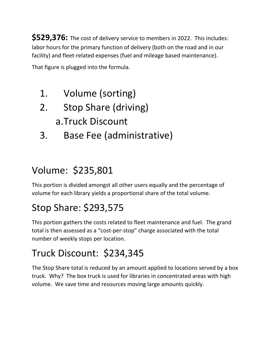**\$529,376:** The cost of delivery service to members in 2022. This includes: labor hours for the primary function of delivery (both on the road and in our facility) and fleet-related expenses (fuel and mileage based maintenance).

That figure is plugged into the formula.

- 1. Volume (sorting)
- 2. Stop Share (driving) a.Truck Discount
- 3. Base Fee (administrative)

## Volume: \$235,801

This portion is divided amongst all other users equally and the percentage of volume for each library yields a proportional share of the total volume.

## Stop Share: \$293,575

This portion gathers the costs related to fleet maintenance and fuel. The grand total is then assessed as a "cost-per-stop" charge associated with the total number of weekly stops per location.

## Truck Discount: \$234,345

The Stop Share total is reduced by an amount applied to locations served by a box truck. Why? The box truck is used for libraries in concentrated areas with high volume. We save time and resources moving large amounts quickly.